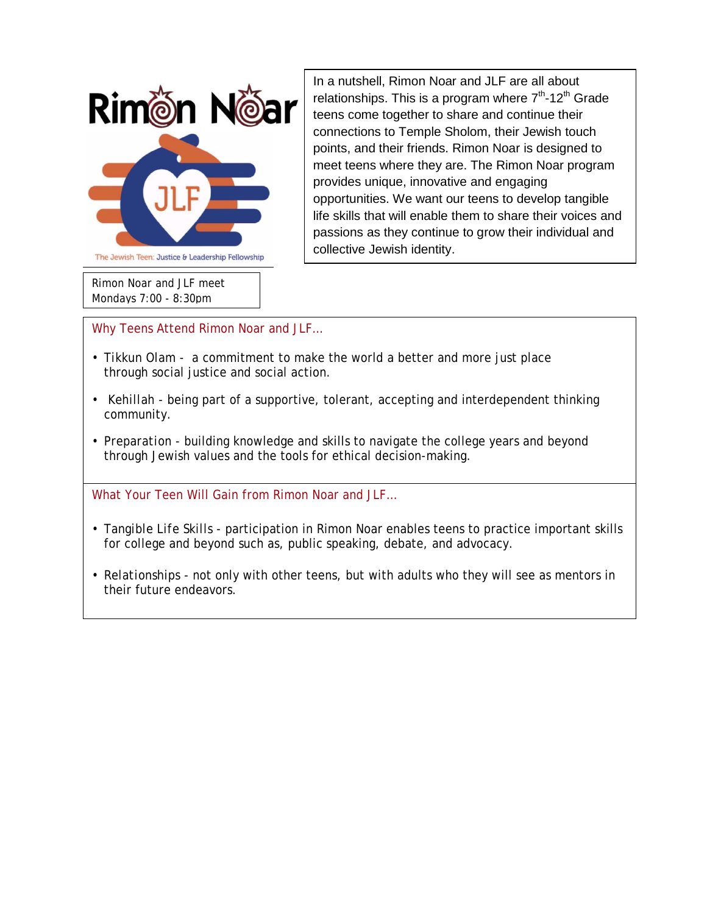

*Rimon Noar and JLF meet Mondays 7:00 - 8:30pm*

In a nutshell, Rimon Noar and JLF are all about relationships. This is a program where  $7<sup>th</sup>$ -12<sup>th</sup> Grade teens come together to share and continue their connections to Temple Sholom, their Jewish touch points, and their friends. Rimon Noar is designed to meet teens where they are. The Rimon Noar program provides unique, innovative and engaging opportunities. We want our teens to develop tangible life skills that will enable them to share their voices and passions as they continue to grow their individual and collective Jewish identity.

Why Teens Attend Rimon Noar and JLF…

- *Tikkun Olam* a commitment to make the world a better and more just place through social justice and social action.
- *Kehillah* being part of a supportive, tolerant, accepting and interdependent thinking community.
- *Preparation*  building knowledge and skills to navigate the college years and beyond through Jewish values and the tools for ethical decision-making.

What Your Teen Will Gain from Rimon Noar and JLF…

- *Tangible Life Skills -* participation in Rimon Noar enables teens to practice important skills for college and beyond such as, public speaking, debate, and advocacy.
- *Relationships -* not only with other teens, but with adults who they will see as mentors in their future endeavors.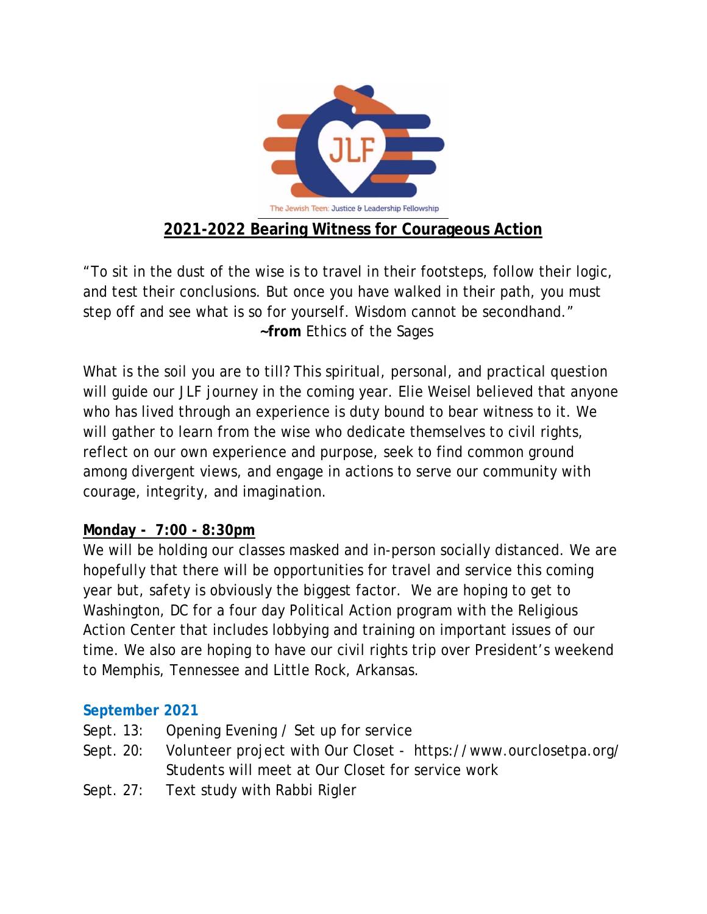

"To sit in the dust of the wise is to travel in their footsteps, follow their logic, and test their conclusions. But once you have walked in their path, you must step off and see what is so for yourself. Wisdom cannot be secondhand."  **~from** *Ethics of the Sages*

What is the soil you are to till? This spiritual, personal, and practical question will guide our JLF journey in the coming year. Elie Weisel believed that anyone who has lived through an experience is duty bound to bear witness to it. We will gather to learn from the wise who dedicate themselves to civil rights, reflect on our own experience and purpose, seek to find common ground among divergent views, and engage in actions to serve our community with courage, integrity, and imagination.

# **Monday - 7:00 - 8:30pm**

We will be holding our classes masked and in-person socially distanced. We are hopefully that there will be opportunities for travel and service this coming year but, safety is obviously the biggest factor. We are hoping to get to Washington, DC for a four day Political Action program with the Religious Action Center that includes lobbying and training on important issues of our time. We also are hoping to have our civil rights trip over President's weekend to Memphis, Tennessee and Little Rock, Arkansas.

# **September 2021**

- Sept. 13: Opening Evening / Set up for service
- Sept. 20: Volunteer project with Our Closet <https://www.ourclosetpa.org/> Students will meet at Our Closet for service work
- Sept. 27: Text study with Rabbi Rigler